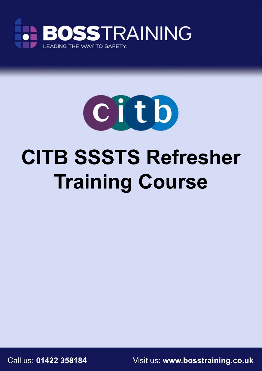



# **CITB SSSTS Refresher Training Course**

Call us: **01422 358184** Visit us: **www.bosstraining.co.uk**